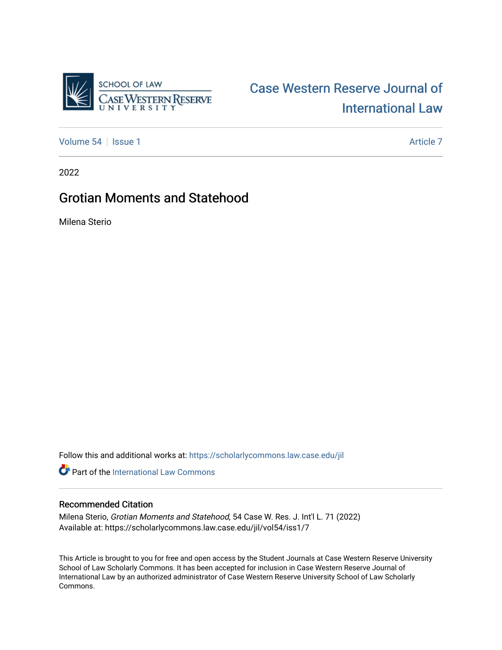

# [Case Western Reserve Journal of](https://scholarlycommons.law.case.edu/jil)  [International Law](https://scholarlycommons.law.case.edu/jil)

[Volume 54](https://scholarlycommons.law.case.edu/jil/vol54) | [Issue 1](https://scholarlycommons.law.case.edu/jil/vol54/iss1) Article 7

2022

# Grotian Moments and Statehood

Milena Sterio

Follow this and additional works at: [https://scholarlycommons.law.case.edu/jil](https://scholarlycommons.law.case.edu/jil?utm_source=scholarlycommons.law.case.edu%2Fjil%2Fvol54%2Fiss1%2F7&utm_medium=PDF&utm_campaign=PDFCoverPages) 

**P** Part of the International Law Commons

### Recommended Citation

Milena Sterio, Grotian Moments and Statehood, 54 Case W. Res. J. Int'l L. 71 (2022) Available at: https://scholarlycommons.law.case.edu/jil/vol54/iss1/7

This Article is brought to you for free and open access by the Student Journals at Case Western Reserve University School of Law Scholarly Commons. It has been accepted for inclusion in Case Western Reserve Journal of International Law by an authorized administrator of Case Western Reserve University School of Law Scholarly Commons.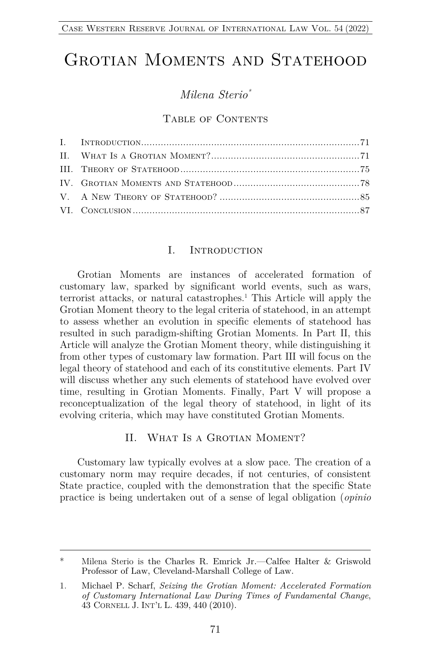# GROTIAN MOMENTS AND STATEHOOD

# *Milena Sterio\**

#### TABLE OF CONTENTS

#### I. INTRODUCTION

Grotian Moments are instances of accelerated formation of customary law, sparked by significant world events, such as wars, terrorist attacks, or natural catastrophes.<sup>1</sup> This Article will apply the Grotian Moment theory to the legal criteria of statehood, in an attempt to assess whether an evolution in specific elements of statehood has resulted in such paradigm-shifting Grotian Moments. In Part II, this Article will analyze the Grotian Moment theory, while distinguishing it from other types of customary law formation. Part III will focus on the legal theory of statehood and each of its constitutive elements. Part IV will discuss whether any such elements of statehood have evolved over time, resulting in Grotian Moments. Finally, Part V will propose a reconceptualization of the legal theory of statehood, in light of its evolving criteria, which may have constituted Grotian Moments.

#### II. WHAT IS A GROTIAN MOMENT?

Customary law typically evolves at a slow pace. The creation of a customary norm may require decades, if not centuries, of consistent State practice, coupled with the demonstration that the specific State practice is being undertaken out of a sense of legal obligation (*opinio* 

<sup>\*</sup> Milena Sterio is the Charles R. Emrick Jr.—Calfee Halter & Griswold Professor of Law, Cleveland-Marshall College of Law.

<sup>1.</sup> Michael P. Scharf, *Seizing the Grotian Moment: Accelerated Formation of Customary International Law During Times of Fundamental Change*, 43 CORNELL J. INT'L L. 439, 440 (2010).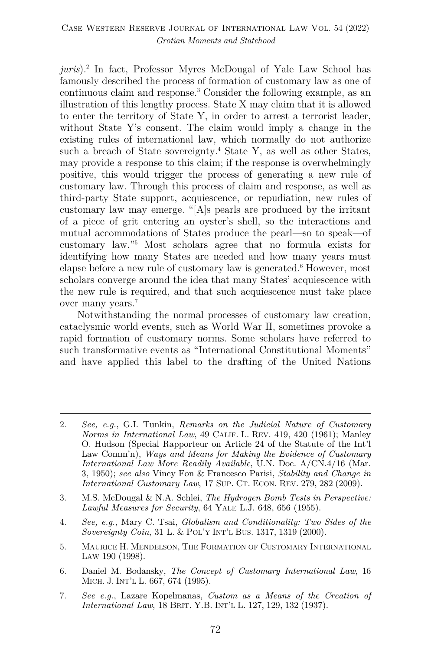*juris*).2 In fact, Professor Myres McDougal of Yale Law School has famously described the process of formation of customary law as one of continuous claim and response.3 Consider the following example, as an illustration of this lengthy process. State X may claim that it is allowed to enter the territory of State Y, in order to arrest a terrorist leader, without State Y's consent. The claim would imply a change in the existing rules of international law, which normally do not authorize such a breach of State sovereignty.<sup>4</sup> State Y, as well as other States, may provide a response to this claim; if the response is overwhelmingly positive, this would trigger the process of generating a new rule of customary law. Through this process of claim and response, as well as third-party State support, acquiescence, or repudiation, new rules of customary law may emerge. "[A]s pearls are produced by the irritant of a piece of grit entering an oyster's shell, so the interactions and mutual accommodations of States produce the pearl—so to speak—of customary law."5 Most scholars agree that no formula exists for identifying how many States are needed and how many years must elapse before a new rule of customary law is generated.6 However, most scholars converge around the idea that many States' acquiescence with the new rule is required, and that such acquiescence must take place over many years.7

Notwithstanding the normal processes of customary law creation, cataclysmic world events, such as World War II, sometimes provoke a rapid formation of customary norms. Some scholars have referred to such transformative events as "International Constitutional Moments" and have applied this label to the drafting of the United Nations

- 3. M.S. McDougal & N.A. Schlei, *The Hydrogen Bomb Tests in Perspective: Lawful Measures for Security*, 64 YALE L.J. 648, 656 (1955).
- 4. *See, e.g.*, Mary C. Tsai, *Globalism and Conditionality: Two Sides of the Sovereignty Coin*, 31 L. & POL'Y INT'L BUS. 1317, 1319 (2000).
- 5. MAURICE H. MENDELSON, THE FORMATION OF CUSTOMARY INTERNATIONAL LAW 190 (1998).
- 6. Daniel M. Bodansky, *The Concept of Customary International Law*, 16 MICH. J. INT'L L. 667, 674 (1995).
- 7. *See e.g.*, Lazare Kopelmanas, *Custom as a Means of the Creation of International Law*, 18 BRIT. Y.B. INT'L L. 127, 129, 132 (1937).

<sup>2.</sup> *See, e.g.*, G.I. Tunkin, *Remarks on the Judicial Nature of Customary Norms in International Law*, 49 CALIF. L. REV. 419, 420 (1961); Manley O. Hudson (Special Rapporteur on Article 24 of the Statute of the Int'l Law Comm'n), *Ways and Means for Making the Evidence of Customary International Law More Readily Available*, U.N. Doc. A/CN.4/16 (Mar. 3, 1950); *see also* Vincy Fon & Francesco Parisi, *Stability and Change in International Customary Law*, 17 SUP. CT. ECON. REV. 279, 282 (2009).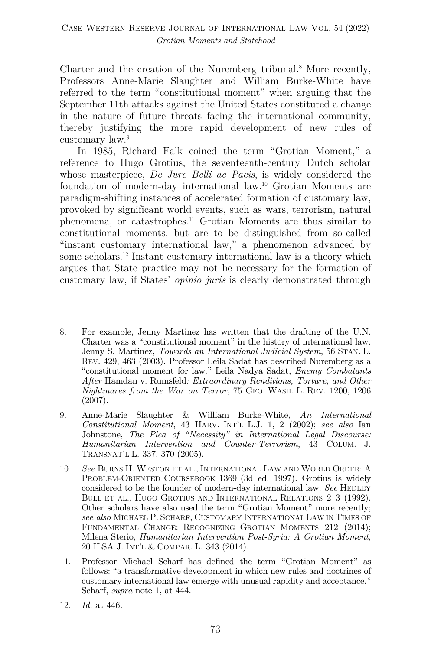Charter and the creation of the Nuremberg tribunal.<sup>8</sup> More recently, Professors Anne-Marie Slaughter and William Burke-White have referred to the term "constitutional moment" when arguing that the September 11th attacks against the United States constituted a change in the nature of future threats facing the international community, thereby justifying the more rapid development of new rules of customary law.9

In 1985, Richard Falk coined the term "Grotian Moment," a reference to Hugo Grotius, the seventeenth-century Dutch scholar whose masterpiece, *De Jure Belli ac Pacis*, is widely considered the foundation of modern-day international law.10 Grotian Moments are paradigm-shifting instances of accelerated formation of customary law, provoked by significant world events, such as wars, terrorism, natural phenomena, or catastrophes.11 Grotian Moments are thus similar to constitutional moments, but are to be distinguished from so-called "instant customary international law," a phenomenon advanced by some scholars.<sup>12</sup> Instant customary international law is a theory which argues that State practice may not be necessary for the formation of customary law, if States' *opinio juris* is clearly demonstrated through

12. *Id.* at 446.

<sup>8.</sup> For example, Jenny Martinez has written that the drafting of the U.N. Charter was a "constitutional moment" in the history of international law. Jenny S. Martinez, *Towards an International Judicial System*, 56 STAN. L. REV. 429, 463 (2003). Professor Leila Sadat has described Nuremberg as a "constitutional moment for law." Leila Nadya Sadat, *Enemy Combatants After* Hamdan v. Rumsfeld*: Extraordinary Renditions, Torture, and Other Nightmares from the War on Terror*, 75 GEO. WASH. L. REV. 1200, 1206 (2007).

<sup>9.</sup> Anne-Marie Slaughter & William Burke-White, *An International Constitutional Moment*, 43 HARV. INT'L L.J. 1, 2 (2002); *see also* Ian Johnstone, *The Plea of "Necessity" in International Legal Discourse: Humanitarian Intervention and Counter-Terrorism*, 43 COLUM. J. TRANSNAT'L L. 337, 370 (2005).

<sup>10.</sup> *See* BURNS H. WESTON ET AL., INTERNATIONAL LAW AND WORLD ORDER: A PROBLEM-ORIENTED COURSEBOOK 1369 (3d ed. 1997). Grotius is widely considered to be the founder of modern-day international law. *See* HEDLEY BULL ET AL., HUGO GROTIUS AND INTERNATIONAL RELATIONS 2–3 (1992). Other scholars have also used the term "Grotian Moment" more recently; *see also* MICHAEL P. SCHARF, CUSTOMARY INTERNATIONAL LAW IN TIMES OF FUNDAMENTAL CHANGE: RECOGNIZING GROTIAN MOMENTS 212 (2014); Milena Sterio, *Humanitarian Intervention Post-Syria: A Grotian Moment*, 20 ILSA J. INT'L & COMPAR. L. 343 (2014).

<sup>11.</sup> Professor Michael Scharf has defined the term "Grotian Moment" as follows: "a transformative development in which new rules and doctrines of customary international law emerge with unusual rapidity and acceptance." Scharf, *supra* note 1, at 444.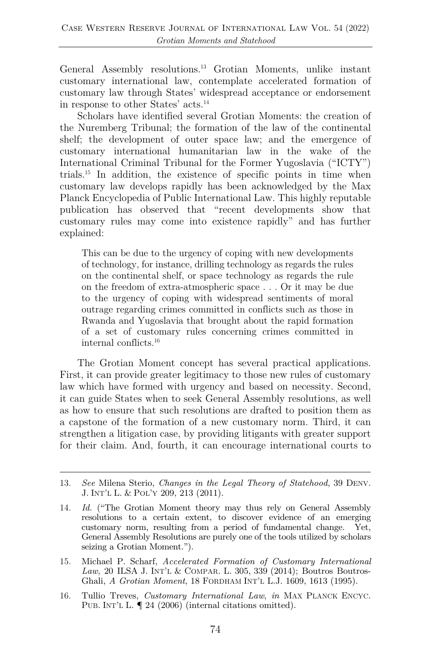General Assembly resolutions.13 Grotian Moments, unlike instant customary international law, contemplate accelerated formation of customary law through States' widespread acceptance or endorsement in response to other States' acts.14

Scholars have identified several Grotian Moments: the creation of the Nuremberg Tribunal; the formation of the law of the continental shelf; the development of outer space law; and the emergence of customary international humanitarian law in the wake of the International Criminal Tribunal for the Former Yugoslavia ("ICTY") trials.15 In addition, the existence of specific points in time when customary law develops rapidly has been acknowledged by the Max Planck Encyclopedia of Public International Law. This highly reputable publication has observed that "recent developments show that customary rules may come into existence rapidly" and has further explained:

This can be due to the urgency of coping with new developments of technology, for instance, drilling technology as regards the rules on the continental shelf, or space technology as regards the rule on the freedom of extra-atmospheric space . . . Or it may be due to the urgency of coping with widespread sentiments of moral outrage regarding crimes committed in conflicts such as those in Rwanda and Yugoslavia that brought about the rapid formation of a set of customary rules concerning crimes committed in internal conflicts.16

The Grotian Moment concept has several practical applications. First, it can provide greater legitimacy to those new rules of customary law which have formed with urgency and based on necessity. Second, it can guide States when to seek General Assembly resolutions, as well as how to ensure that such resolutions are drafted to position them as a capstone of the formation of a new customary norm. Third, it can strengthen a litigation case, by providing litigants with greater support for their claim. And, fourth, it can encourage international courts to

16. Tullio Treves, *Customary International Law*, *in* MAX PLANCK ENCYC. PUB. INT'L L.  $\P$  24 (2006) (internal citations omitted).

<sup>13.</sup> *See* Milena Sterio, *Changes in the Legal Theory of Statehood*, 39 DENV. J. INT'L L. & POL'Y 209, 213 (2011).

<sup>14.</sup> *Id.* ("The Grotian Moment theory may thus rely on General Assembly resolutions to a certain extent, to discover evidence of an emerging customary norm, resulting from a period of fundamental change. Yet, General Assembly Resolutions are purely one of the tools utilized by scholars seizing a Grotian Moment.").

<sup>15.</sup> Michael P. Scharf, *Accelerated Formation of Customary International Law*, 20 ILSA J. INT'L & COMPAR. L. 305, 339 (2014); Boutros Boutros-Ghali, *A Grotian Moment*, 18 FORDHAM INT'L L.J. 1609, 1613 (1995).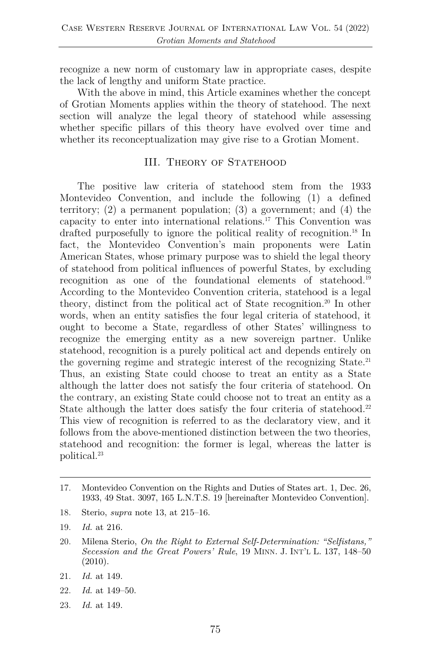recognize a new norm of customary law in appropriate cases, despite the lack of lengthy and uniform State practice.

With the above in mind, this Article examines whether the concept of Grotian Moments applies within the theory of statehood. The next section will analyze the legal theory of statehood while assessing whether specific pillars of this theory have evolved over time and whether its reconceptualization may give rise to a Grotian Moment.

### III. THEORY OF STATEHOOD

The positive law criteria of statehood stem from the 1933 Montevideo Convention, and include the following (1) a defined territory; (2) a permanent population; (3) a government; and (4) the capacity to enter into international relations.17 This Convention was drafted purposefully to ignore the political reality of recognition.18 In fact, the Montevideo Convention's main proponents were Latin American States, whose primary purpose was to shield the legal theory of statehood from political influences of powerful States, by excluding recognition as one of the foundational elements of statehood.19 According to the Montevideo Convention criteria, statehood is a legal theory, distinct from the political act of State recognition.20 In other words, when an entity satisfies the four legal criteria of statehood, it ought to become a State, regardless of other States' willingness to recognize the emerging entity as a new sovereign partner. Unlike statehood, recognition is a purely political act and depends entirely on the governing regime and strategic interest of the recognizing State.21 Thus, an existing State could choose to treat an entity as a State although the latter does not satisfy the four criteria of statehood. On the contrary, an existing State could choose not to treat an entity as a State although the latter does satisfy the four criteria of statehood.<sup>22</sup> This view of recognition is referred to as the declaratory view, and it follows from the above-mentioned distinction between the two theories, statehood and recognition: the former is legal, whereas the latter is political.23

- 18. Sterio, *supra* note 13, at 215–16.
- 19. *Id.* at 216.
- 20. Milena Sterio, *On the Right to External Self-Determination: "Selfistans," Secession and the Great Powers' Rule*, 19 MINN. J. INT'L L. 137, 148–50 (2010).
- 21. *Id.* at 149.
- 22. *Id.* at 149–50.
- 23. *Id.* at 149.

<sup>17.</sup> Montevideo Convention on the Rights and Duties of States art. 1, Dec. 26, 1933, 49 Stat. 3097, 165 L.N.T.S. 19 [hereinafter Montevideo Convention].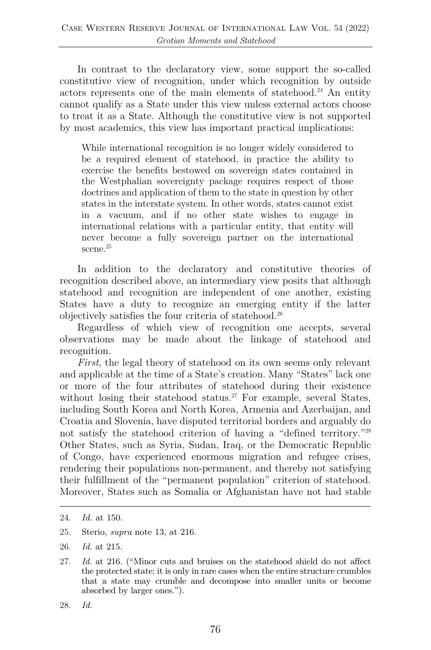In contrast to the declaratory view, some support the so-called constitutive view of recognition, under which recognition by outside actors represents one of the main elements of statehood.<sup>24</sup> An entity cannot qualify as a State under this view unless external actors choose to treat it as a State. Although the constitutive view is not supported by most academics, this view has important practical implications:

While international recognition is no longer widely considered to be a required element of statehood, in practice the ability to exercise the benefits bestowed on sovereign states contained in the Westphalian sovereignty package requires respect of those doctrines and application of them to the state in question by other states in the interstate system. In other words, states cannot exist in a vacuum, and if no other state wishes to engage in international relations with a particular entity, that entity will never become a fully sovereign partner on the international scene.<sup>25</sup>

In addition to the declaratory and constitutive theories of recognition described above, an intermediary view posits that although statehood and recognition are independent of one another, existing States have a duty to recognize an emerging entity if the latter objectively satisfies the four criteria of statehood.26

Regardless of which view of recognition one accepts, several observations may be made about the linkage of statehood and recognition.

*First*, the legal theory of statehood on its own seems only relevant and applicable at the time of a State's creation. Many "States" lack one or more of the four attributes of statehood during their existence without losing their statehood status.<sup>27</sup> For example, several States, including South Korea and North Korea, Armenia and Azerbaijan, and Croatia and Slovenia, have disputed territorial borders and arguably do not satisfy the statehood criterion of having a "defined territory."28 Other States, such as Syria, Sudan, Iraq, or the Democratic Republic of Congo, have experienced enormous migration and refugee crises, rendering their populations non-permanent, and thereby not satisfying their fulfillment of the "permanent population" criterion of statehood. Moreover, States such as Somalia or Afghanistan have not had stable

- 25. Sterio, *supra* note 13, at 216.
- 26. *Id.* at 215.

<sup>24.</sup> *Id.* at 150.

<sup>27.</sup> *Id.* at 216. ("Minor cuts and bruises on the statehood shield do not affect the protected state; it is only in rare cases when the entire structure crumbles that a state may crumble and decompose into smaller units or become absorbed by larger ones.").

<sup>28.</sup> *Id.*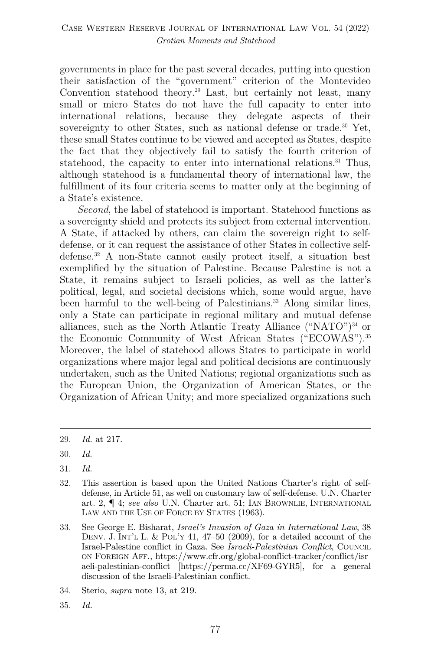governments in place for the past several decades, putting into question their satisfaction of the "government" criterion of the Montevideo Convention statehood theory.29 Last, but certainly not least, many small or micro States do not have the full capacity to enter into international relations, because they delegate aspects of their sovereignty to other States, such as national defense or trade.<sup>30</sup> Yet, these small States continue to be viewed and accepted as States, despite the fact that they objectively fail to satisfy the fourth criterion of statehood, the capacity to enter into international relations.<sup>31</sup> Thus, although statehood is a fundamental theory of international law, the fulfillment of its four criteria seems to matter only at the beginning of a State's existence.

*Second*, the label of statehood is important. Statehood functions as a sovereignty shield and protects its subject from external intervention. A State, if attacked by others, can claim the sovereign right to selfdefense, or it can request the assistance of other States in collective selfdefense.32 A non-State cannot easily protect itself, a situation best exemplified by the situation of Palestine. Because Palestine is not a State, it remains subject to Israeli policies, as well as the latter's political, legal, and societal decisions which, some would argue, have been harmful to the well-being of Palestinians.<sup>33</sup> Along similar lines, only a State can participate in regional military and mutual defense alliances, such as the North Atlantic Treaty Alliance  $({}^\alpha NATO^{\gamma})^{34}$  or the Economic Community of West African States ("ECOWAS").35 Moreover, the label of statehood allows States to participate in world organizations where major legal and political decisions are continuously undertaken, such as the United Nations; regional organizations such as the European Union, the Organization of American States, or the Organization of African Unity; and more specialized organizations such

35. *Id.*

<sup>29.</sup> *Id.* at 217.

<sup>30.</sup> *Id.*

<sup>31.</sup> *Id.*

<sup>32.</sup> This assertion is based upon the United Nations Charter's right of selfdefense, in Article 51, as well on customary law of self-defense. U.N. Charter art. 2, ¶ 4; *see also* U.N. Charter art. 51; IAN BROWNLIE, INTERNATIONAL LAW AND THE USE OF FORCE BY STATES (1963).

<sup>33.</sup> See George E. Bisharat, *Israel's Invasion of Gaza in International Law*, 38 DENV. J. INT'L L. & POL'Y 41, 47–50 (2009), for a detailed account of the Israel-Palestine conflict in Gaza. See *Israeli-Palestinian Conflict*, COUNCIL ON FOREIGN AFF., https://www.cfr.org/global-conflict-tracker/conflict/isr aeli-palestinian-conflict [https://perma.cc/XF69-GYR5], for a general discussion of the Israeli-Palestinian conflict.

<sup>34.</sup> Sterio, *supra* note 13, at 219.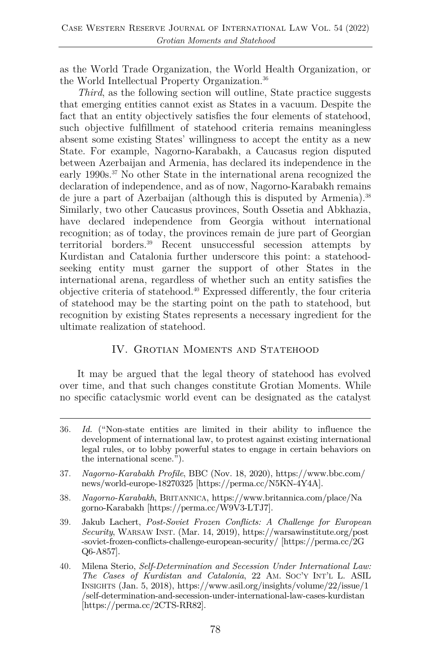as the World Trade Organization, the World Health Organization, or the World Intellectual Property Organization.36

*Third*, as the following section will outline, State practice suggests that emerging entities cannot exist as States in a vacuum. Despite the fact that an entity objectively satisfies the four elements of statehood, such objective fulfillment of statehood criteria remains meaningless absent some existing States' willingness to accept the entity as a new State. For example, Nagorno-Karabakh, a Caucasus region disputed between Azerbaijan and Armenia, has declared its independence in the early 1990s.<sup>37</sup> No other State in the international arena recognized the declaration of independence, and as of now, Nagorno-Karabakh remains de jure a part of Azerbaijan (although this is disputed by Armenia).<sup>38</sup> Similarly, two other Caucasus provinces, South Ossetia and Abkhazia, have declared independence from Georgia without international recognition; as of today, the provinces remain de jure part of Georgian territorial borders.39 Recent unsuccessful secession attempts by Kurdistan and Catalonia further underscore this point: a statehoodseeking entity must garner the support of other States in the international arena, regardless of whether such an entity satisfies the objective criteria of statehood.40 Expressed differently, the four criteria of statehood may be the starting point on the path to statehood, but recognition by existing States represents a necessary ingredient for the ultimate realization of statehood.

# IV. Grotian Moments and Statehood

It may be argued that the legal theory of statehood has evolved over time, and that such changes constitute Grotian Moments. While no specific cataclysmic world event can be designated as the catalyst

- 37. *Nagorno-Karabakh Profile*, BBC (Nov. 18, 2020), https://www.bbc.com/ news/world-europe-18270325 [https://perma.cc/N5KN-4Y4A].
- 38. *Nagorno-Karabakh*, BRITANNICA, https://www.britannica.com/place/Na gorno-Karabakh [https://perma.cc/W9V3-LTJ7].
- 39. Jakub Lachert, *Post-Soviet Frozen Conflicts: A Challenge for European Security*, WARSAW INST. (Mar. 14, 2019), https://warsawinstitute.org/post -soviet-frozen-conflicts-challenge-european-security/ [https://perma.cc/2G Q6-A857].
- 40. Milena Sterio, *Self-Determination and Secession Under International Law: The Cases of Kurdistan and Catalonia*, 22 AM. SOC'Y INT'L L. ASIL INSIGHTS (Jan. 5, 2018), https://www.asil.org/insights/volume/22/issue/1 /self-determination-and-secession-under-international-law-cases-kurdistan [https://perma.cc/2CTS-RR82].

<sup>36.</sup> *Id.* ("Non-state entities are limited in their ability to influence the development of international law, to protest against existing international legal rules, or to lobby powerful states to engage in certain behaviors on the international scene.").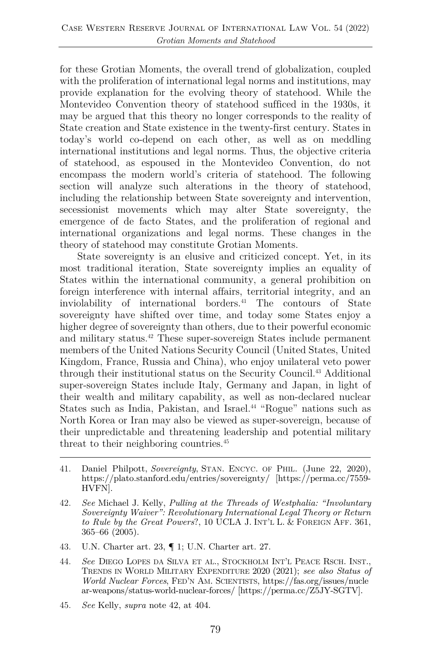for these Grotian Moments, the overall trend of globalization, coupled with the proliferation of international legal norms and institutions, may provide explanation for the evolving theory of statehood. While the Montevideo Convention theory of statehood sufficed in the 1930s, it may be argued that this theory no longer corresponds to the reality of State creation and State existence in the twenty-first century. States in today's world co-depend on each other, as well as on meddling international institutions and legal norms. Thus, the objective criteria of statehood, as espoused in the Montevideo Convention, do not encompass the modern world's criteria of statehood. The following section will analyze such alterations in the theory of statehood, including the relationship between State sovereignty and intervention, secessionist movements which may alter State sovereignty, the emergence of de facto States, and the proliferation of regional and international organizations and legal norms. These changes in the theory of statehood may constitute Grotian Moments.

State sovereignty is an elusive and criticized concept. Yet, in its most traditional iteration, State sovereignty implies an equality of States within the international community, a general prohibition on foreign interference with internal affairs, territorial integrity, and an inviolability of international borders.41 The contours of State sovereignty have shifted over time, and today some States enjoy a higher degree of sovereignty than others, due to their powerful economic and military status.42 These super-sovereign States include permanent members of the United Nations Security Council (United States, United Kingdom, France, Russia and China), who enjoy unilateral veto power through their institutional status on the Security Council.43 Additional super-sovereign States include Italy, Germany and Japan, in light of their wealth and military capability, as well as non-declared nuclear States such as India, Pakistan, and Israel.<sup>44</sup> "Rogue" nations such as North Korea or Iran may also be viewed as super-sovereign, because of their unpredictable and threatening leadership and potential military threat to their neighboring countries.<sup>45</sup>

- 41. Daniel Philpott, *Sovereignty*, STAN. ENCYC. OF PHIL. (June 22, 2020), https://plato.stanford.edu/entries/sovereignty/ [https://perma.cc/7559- HVFN].
- 42. *See* Michael J. Kelly, *Pulling at the Threads of Westphalia: "Involuntary Sovereignty Waiver": Revolutionary International Legal Theory or Return to Rule by the Great Powers*?, 10 UCLA J. INT'L L. & FOREIGN AFF. 361, 365–66 (2005).
- 43. U.N. Charter art. 23, ¶ 1; U.N. Charter art. 27.
- 44. *See* DIEGO LOPES DA SILVA ET AL., STOCKHOLM INT'L PEACE RSCH. INST., TRENDS IN WORLD MILITARY EXPENDITURE 2020 (2021); *see also Status of World Nuclear Forces*, FED'N AM. SCIENTISTS, https://fas.org/issues/nucle ar-weapons/status-world-nuclear-forces/ [https://perma.cc/Z5JY-SGTV].
- 45. *See* Kelly, *supra* note 42, at 404.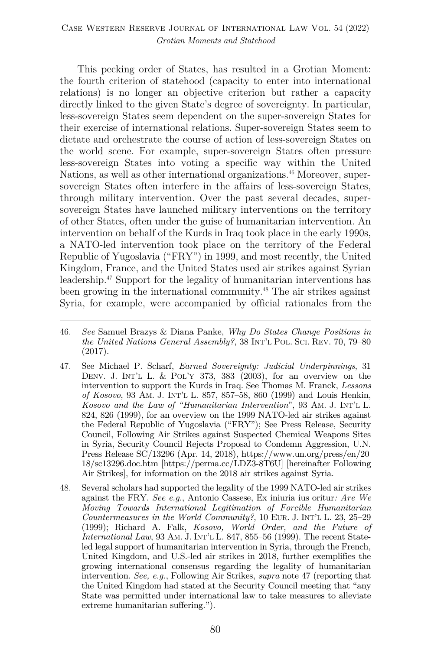This pecking order of States, has resulted in a Grotian Moment: the fourth criterion of statehood (capacity to enter into international relations) is no longer an objective criterion but rather a capacity directly linked to the given State's degree of sovereignty. In particular, less-sovereign States seem dependent on the super-sovereign States for their exercise of international relations. Super-sovereign States seem to dictate and orchestrate the course of action of less-sovereign States on the world scene. For example, super-sovereign States often pressure less-sovereign States into voting a specific way within the United Nations, as well as other international organizations.<sup>46</sup> Moreover, supersovereign States often interfere in the affairs of less-sovereign States, through military intervention. Over the past several decades, supersovereign States have launched military interventions on the territory of other States, often under the guise of humanitarian intervention. An intervention on behalf of the Kurds in Iraq took place in the early 1990s, a NATO-led intervention took place on the territory of the Federal Republic of Yugoslavia ("FRY") in 1999, and most recently, the United Kingdom, France, and the United States used air strikes against Syrian leadership.47 Support for the legality of humanitarian interventions has been growing in the international community.<sup>48</sup> The air strikes against Syria, for example, were accompanied by official rationales from the

- 47. See Michael P. Scharf, *Earned Sovereignty: Judicial Underpinnings*, 31 DENV. J. INT'L L. & POL'Y 373, 383 (2003), for an overview on the intervention to support the Kurds in Iraq. See Thomas M. Franck, *Lessons of Kosovo*, 93 AM. J. INT'L L. 857, 857–58, 860 (1999) and Louis Henkin, *Kosovo and the Law of "Humanitarian Intervention*", 93 AM. J. INT'L L. 824, 826 (1999), for an overview on the 1999 NATO-led air strikes against the Federal Republic of Yugoslavia ("FRY"); See Press Release, Security Council, Following Air Strikes against Suspected Chemical Weapons Sites in Syria, Security Council Rejects Proposal to Condemn Aggression, U.N. Press Release SC/13296 (Apr. 14, 2018), https://www.un.org/press/en/20 18/sc13296.doc.htm [https://perma.cc/LDZ3-8T6U] [hereinafter Following Air Strikes], for information on the 2018 air strikes against Syria.
- 48. Several scholars had supported the legality of the 1999 NATO-led air strikes against the FRY. *See e.g.*, Antonio Cassese, Ex iniuria ius oritur*: Are We Moving Towards International Legitimation of Forcible Humanitarian Countermeasures in the World Community?*, 10 EUR. J. INT'L L. 23, 25–29 (1999); Richard A. Falk, *Kosovo, World Order, and the Future of International Law*, 93 AM. J. INT'L L. 847, 855–56 (1999). The recent Stateled legal support of humanitarian intervention in Syria, through the French, United Kingdom, and U.S.-led air strikes in 2018, further exemplifies the growing international consensus regarding the legality of humanitarian intervention. *See, e.g.*, Following Air Strikes, *supra* note 47 (reporting that the United Kingdom had stated at the Security Council meeting that "any State was permitted under international law to take measures to alleviate extreme humanitarian suffering.").

<sup>46.</sup> *See* Samuel Brazys & Diana Panke, *Why Do States Change Positions in the United Nations General Assembly?*, 38 INT'L POL. SCI. REV. 70, 79–80 (2017).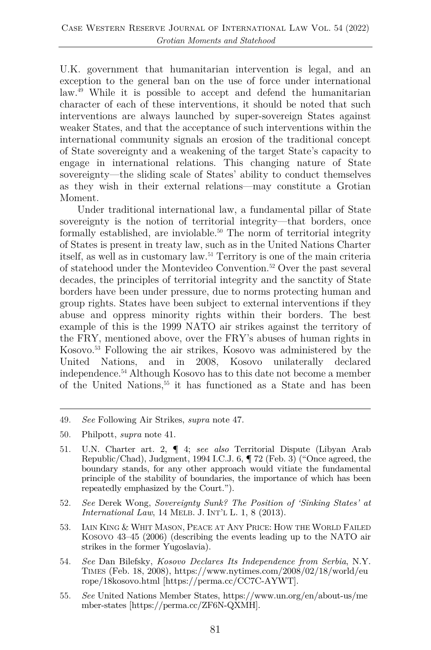U.K. government that humanitarian intervention is legal, and an exception to the general ban on the use of force under international law.49 While it is possible to accept and defend the humanitarian character of each of these interventions, it should be noted that such interventions are always launched by super-sovereign States against weaker States, and that the acceptance of such interventions within the international community signals an erosion of the traditional concept of State sovereignty and a weakening of the target State's capacity to engage in international relations. This changing nature of State sovereignty—the sliding scale of States' ability to conduct themselves as they wish in their external relations—may constitute a Grotian Moment.

Under traditional international law, a fundamental pillar of State sovereignty is the notion of territorial integrity—that borders, once formally established, are inviolable.<sup>50</sup> The norm of territorial integrity of States is present in treaty law, such as in the United Nations Charter itself, as well as in customary law.51 Territory is one of the main criteria of statehood under the Montevideo Convention.52 Over the past several decades, the principles of territorial integrity and the sanctity of State borders have been under pressure, due to norms protecting human and group rights. States have been subject to external interventions if they abuse and oppress minority rights within their borders. The best example of this is the 1999 NATO air strikes against the territory of the FRY, mentioned above, over the FRY's abuses of human rights in Kosovo.53 Following the air strikes, Kosovo was administered by the United Nations, and in 2008, Kosovo unilaterally declared independence.54 Although Kosovo has to this date not become a member of the United Nations,55 it has functioned as a State and has been

- 52. *See* Derek Wong, *Sovereignty Sunk? The Position of 'Sinking States' at International Law*, 14 MELB. J. INT'L L. 1, 8 (2013).
- 53. IAIN KING & WHIT MASON, PEACE AT ANY PRICE: HOW THE WORLD FAILED KOSOVO 43–45 (2006) (describing the events leading up to the NATO air strikes in the former Yugoslavia).
- 54. *See* Dan Bilefsky, *Kosovo Declares Its Independence from Serbia*, N.Y. TIMES (Feb. 18, 2008), https://www.nytimes.com/2008/02/18/world/eu rope/18kosovo.html [https://perma.cc/CC7C-AYWT].
- 55. *See* United Nations Member States, https://www.un.org/en/about-us/me mber-states [https://perma.cc/ZF6N-QXMH].

<sup>49.</sup> *See* Following Air Strikes, *supra* note 47.

<sup>50.</sup> Philpott, *supra* note 41.

<sup>51.</sup> U.N. Charter art. 2, ¶ 4; *see also* Territorial Dispute (Libyan Arab Republic/Chad), Judgment, 1994 I.C.J. 6, ¶ 72 (Feb. 3) ("Once agreed, the boundary stands, for any other approach would vitiate the fundamental principle of the stability of boundaries, the importance of which has been repeatedly emphasized by the Court.").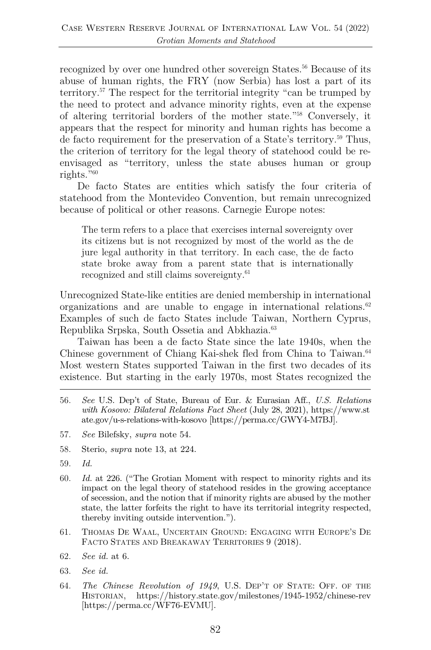recognized by over one hundred other sovereign States.<sup>56</sup> Because of its abuse of human rights, the FRY (now Serbia) has lost a part of its territory.57 The respect for the territorial integrity "can be trumped by the need to protect and advance minority rights, even at the expense of altering territorial borders of the mother state."58 Conversely, it appears that the respect for minority and human rights has become a de facto requirement for the preservation of a State's territory.59 Thus, the criterion of territory for the legal theory of statehood could be reenvisaged as "territory, unless the state abuses human or group rights."60

De facto States are entities which satisfy the four criteria of statehood from the Montevideo Convention, but remain unrecognized because of political or other reasons. Carnegie Europe notes:

The term refers to a place that exercises internal sovereignty over its citizens but is not recognized by most of the world as the de jure legal authority in that territory. In each case, the de facto state broke away from a parent state that is internationally recognized and still claims sovereignty.<sup>61</sup>

Unrecognized State-like entities are denied membership in international organizations and are unable to engage in international relations. $62$ Examples of such de facto States include Taiwan, Northern Cyprus, Republika Srpska, South Ossetia and Abkhazia.63

Taiwan has been a de facto State since the late 1940s, when the Chinese government of Chiang Kai-shek fled from China to Taiwan.<sup>64</sup> Most western States supported Taiwan in the first two decades of its existence. But starting in the early 1970s, most States recognized the

- 56. *See* U.S. Dep't of State, Bureau of Eur. & Eurasian Aff., *U.S. Relations with Kosovo: Bilateral Relations Fact Sheet* (July 28, 2021), https://www.st ate.gov/u-s-relations-with-kosovo [https://perma.cc/GWY4-M7BJ].
- 57. *See* Bilefsky, *supra* note 54.
- 58. Sterio, *supra* note 13, at 224.
- 59. *Id.*
- 60. *Id.* at 226. ("The Grotian Moment with respect to minority rights and its impact on the legal theory of statehood resides in the growing acceptance of secession, and the notion that if minority rights are abused by the mother state, the latter forfeits the right to have its territorial integrity respected, thereby inviting outside intervention.").
- 61. THOMAS DE WAAL, UNCERTAIN GROUND: ENGAGING WITH EUROPE'S DE FACTO STATES AND BREAKAWAY TERRITORIES 9 (2018).
- 62. *See id.* at 6.
- 63. *See id.*
- 64. *The Chinese Revolution of 1949*, U.S. DEP'T OF STATE: OFF. OF THE HISTORIAN, https://history.state.gov/milestones/1945-1952/chinese-rev [https://perma.cc/WF76-EVMU].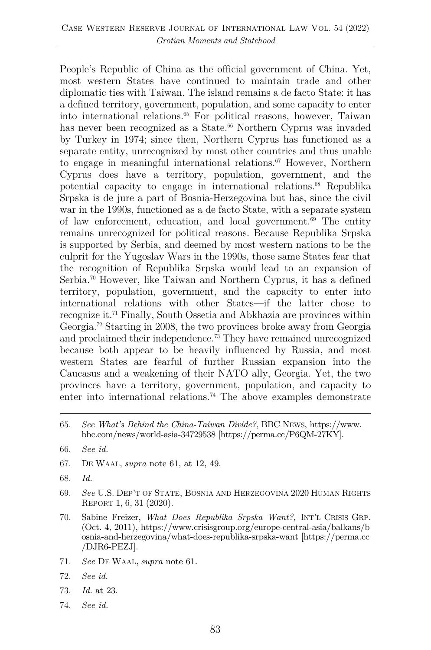People's Republic of China as the official government of China. Yet, most western States have continued to maintain trade and other diplomatic ties with Taiwan. The island remains a de facto State: it has a defined territory, government, population, and some capacity to enter into international relations.65 For political reasons, however, Taiwan has never been recognized as a State.<sup>66</sup> Northern Cyprus was invaded by Turkey in 1974; since then, Northern Cyprus has functioned as a separate entity, unrecognized by most other countries and thus unable to engage in meaningful international relations.<sup>67</sup> However, Northern Cyprus does have a territory, population, government, and the potential capacity to engage in international relations.68 Republika Srpska is de jure a part of Bosnia-Herzegovina but has, since the civil war in the 1990s, functioned as a de facto State, with a separate system of law enforcement, education, and local government. $69$  The entity remains unrecognized for political reasons. Because Republika Srpska is supported by Serbia, and deemed by most western nations to be the culprit for the Yugoslav Wars in the 1990s, those same States fear that the recognition of Republika Srpska would lead to an expansion of Serbia.<sup>70</sup> However, like Taiwan and Northern Cyprus, it has a defined territory, population, government, and the capacity to enter into international relations with other States—if the latter chose to recognize it.71 Finally, South Ossetia and Abkhazia are provinces within Georgia.72 Starting in 2008, the two provinces broke away from Georgia and proclaimed their independence.<sup>73</sup> They have remained unrecognized because both appear to be heavily influenced by Russia, and most western States are fearful of further Russian expansion into the Caucasus and a weakening of their NATO ally, Georgia. Yet, the two provinces have a territory, government, population, and capacity to enter into international relations.<sup>74</sup> The above examples demonstrate

- 67. DE WAAL, *supra* note 61, at 12, 49.
- 68. *Id.*
- 69. *See* U.S. DEP'T OF STATE, BOSNIA AND HERZEGOVINA 2020 HUMAN RIGHTS REPORT 1, 6, 31 (2020).
- 70. Sabine Freizer, *What Does Republika Srpska Want?,* INT'L CRISIS GRP. (Oct. 4, 2011), https://www.crisisgroup.org/europe-central-asia/balkans/b osnia-and-herzegovina/what-does-republika-srpska-want [https://perma.cc /DJR6-PEZJ].
- 71. *See* DE WAAL, *supra* note 61.
- 72. *See id.*
- 73. *Id.* at 23.
- 74. *See id.*

<sup>65.</sup> *See What's Behind the China-Taiwan Divide?*, BBC NEWS, https://www. bbc.com/news/world-asia-34729538 [https://perma.cc/P6QM-27KY].

<sup>66.</sup> *See id.*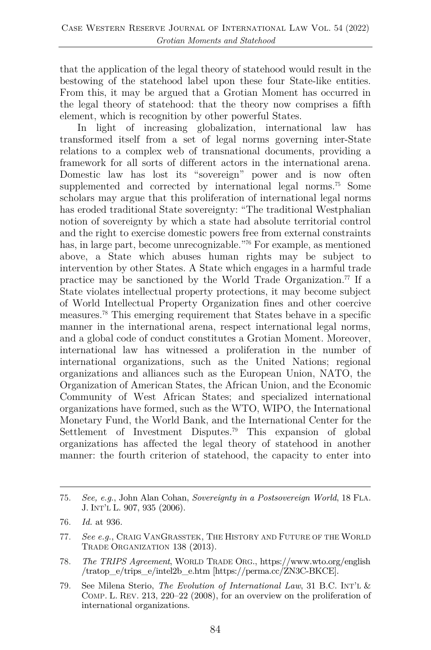that the application of the legal theory of statehood would result in the bestowing of the statehood label upon these four State-like entities. From this, it may be argued that a Grotian Moment has occurred in the legal theory of statehood: that the theory now comprises a fifth element, which is recognition by other powerful States.

In light of increasing globalization, international law has transformed itself from a set of legal norms governing inter-State relations to a complex web of transnational documents, providing a framework for all sorts of different actors in the international arena. Domestic law has lost its "sovereign" power and is now often supplemented and corrected by international legal norms.<sup>75</sup> Some scholars may argue that this proliferation of international legal norms has eroded traditional State sovereignty: "The traditional Westphalian notion of sovereignty by which a state had absolute territorial control and the right to exercise domestic powers free from external constraints has, in large part, become unrecognizable."76 For example, as mentioned above, a State which abuses human rights may be subject to intervention by other States. A State which engages in a harmful trade practice may be sanctioned by the World Trade Organization.<sup>77</sup> If a State violates intellectual property protections, it may become subject of World Intellectual Property Organization fines and other coercive measures.78 This emerging requirement that States behave in a specific manner in the international arena, respect international legal norms, and a global code of conduct constitutes a Grotian Moment. Moreover, international law has witnessed a proliferation in the number of international organizations, such as the United Nations; regional organizations and alliances such as the European Union, NATO, the Organization of American States, the African Union, and the Economic Community of West African States; and specialized international organizations have formed, such as the WTO, WIPO, the International Monetary Fund, the World Bank, and the International Center for the Settlement of Investment Disputes.79 This expansion of global organizations has affected the legal theory of statehood in another manner: the fourth criterion of statehood, the capacity to enter into

<sup>75.</sup> *See, e.g.*, John Alan Cohan, *Sovereignty in a Postsovereign World*, 18 FLA. J. INT'L L. 907, 935 (2006).

<sup>76.</sup> *Id.* at 936.

<sup>77.</sup> *See e.g.*, CRAIG VANGRASSTEK, THE HISTORY AND FUTURE OF THE WORLD TRADE ORGANIZATION 138 (2013).

<sup>78.</sup> *The TRIPS Agreement*, WORLD TRADE ORG., https://www.wto.org/english /tratop\_e/trips\_e/intel2b\_e.htm [https://perma.cc/ZN3C-BKCE].

<sup>79.</sup> See Milena Sterio, *The Evolution of International Law*, 31 B.C. INT'L & COMP. L. REV. 213, 220–22 (2008), for an overview on the proliferation of international organizations.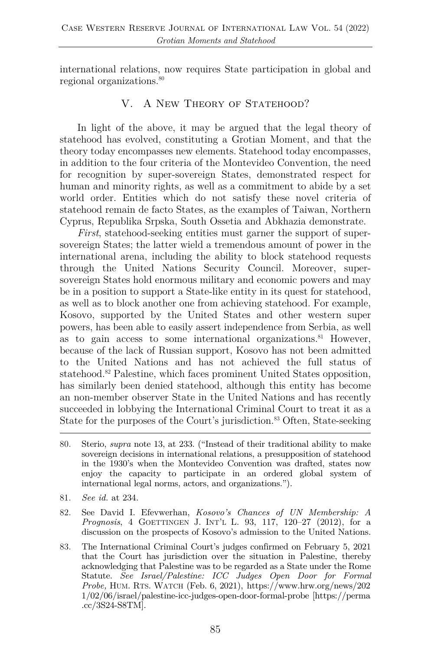international relations, now requires State participation in global and regional organizations.80

# V. A NEW THEORY OF STATEHOOD?

In light of the above, it may be argued that the legal theory of statehood has evolved, constituting a Grotian Moment, and that the theory today encompasses new elements. Statehood today encompasses, in addition to the four criteria of the Montevideo Convention, the need for recognition by super-sovereign States, demonstrated respect for human and minority rights, as well as a commitment to abide by a set world order. Entities which do not satisfy these novel criteria of statehood remain de facto States, as the examples of Taiwan, Northern Cyprus, Republika Srpska, South Ossetia and Abkhazia demonstrate.

*First*, statehood-seeking entities must garner the support of supersovereign States; the latter wield a tremendous amount of power in the international arena, including the ability to block statehood requests through the United Nations Security Council. Moreover, supersovereign States hold enormous military and economic powers and may be in a position to support a State-like entity in its quest for statehood, as well as to block another one from achieving statehood. For example, Kosovo, supported by the United States and other western super powers, has been able to easily assert independence from Serbia, as well as to gain access to some international organizations.<sup>81</sup> However, because of the lack of Russian support, Kosovo has not been admitted to the United Nations and has not achieved the full status of statehood.<sup>82</sup> Palestine, which faces prominent United States opposition, has similarly been denied statehood, although this entity has become an non-member observer State in the United Nations and has recently succeeded in lobbying the International Criminal Court to treat it as a State for the purposes of the Court's jurisdiction.<sup>83</sup> Often, State-seeking

- 80. Sterio, *supra* note 13, at 233. ("Instead of their traditional ability to make sovereign decisions in international relations, a presupposition of statehood in the 1930's when the Montevideo Convention was drafted, states now enjoy the capacity to participate in an ordered global system of international legal norms, actors, and organizations.").
- 81. *See id.* at 234.
- 82. See David I. Efevwerhan, *Kosovo's Chances of UN Membership: A Prognosis*, 4 GOETTINGEN J. INT'L L. 93, 117, 120–27 (2012), for a discussion on the prospects of Kosovo's admission to the United Nations.
- 83. The International Criminal Court's judges confirmed on February 5, 2021 that the Court has jurisdiction over the situation in Palestine, thereby acknowledging that Palestine was to be regarded as a State under the Rome Statute. *See Israel/Palestine: ICC Judges Open Door for Formal Probe,* HUM. RTS. WATCH (Feb. 6, 2021), https://www.hrw.org/news/202 1/02/06/israel/palestine-icc-judges-open-door-formal-probe [https://perma .cc/3S24-S8TM].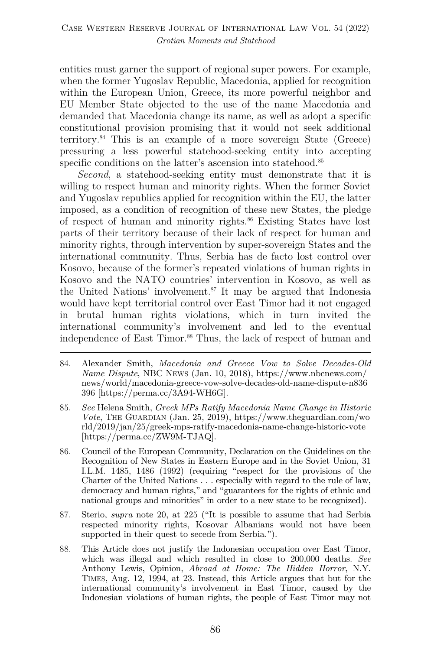entities must garner the support of regional super powers. For example, when the former Yugoslav Republic, Macedonia, applied for recognition within the European Union, Greece, its more powerful neighbor and EU Member State objected to the use of the name Macedonia and demanded that Macedonia change its name, as well as adopt a specific constitutional provision promising that it would not seek additional territory.84 This is an example of a more sovereign State (Greece) pressuring a less powerful statehood-seeking entity into accepting specific conditions on the latter's ascension into statehood.<sup>85</sup>

*Second*, a statehood-seeking entity must demonstrate that it is willing to respect human and minority rights. When the former Soviet and Yugoslav republics applied for recognition within the EU, the latter imposed, as a condition of recognition of these new States, the pledge of respect of human and minority rights.<sup>86</sup> Existing States have lost parts of their territory because of their lack of respect for human and minority rights, through intervention by super-sovereign States and the international community. Thus, Serbia has de facto lost control over Kosovo, because of the former's repeated violations of human rights in Kosovo and the NATO countries' intervention in Kosovo, as well as the United Nations' involvement.<sup>87</sup> It may be argued that Indonesia would have kept territorial control over East Timor had it not engaged in brutal human rights violations, which in turn invited the international community's involvement and led to the eventual independence of East Timor.<sup>88</sup> Thus, the lack of respect of human and

- 84. Alexander Smith, *Macedonia and Greece Vow to Solve Decades-Old Name Dispute*, NBC NEWS (Jan. 10, 2018), https://www.nbcnews.com/ news/world/macedonia-greece-vow-solve-decades-old-name-dispute-n836 396 [https://perma.cc/3A94-WH6G].
- 85. *See* Helena Smith, *Greek MPs Ratify Macedonia Name Change in Historic Vote*, THE GUARDIAN (Jan. 25, 2019), https://www.theguardian.com/wo rld/2019/jan/25/greek-mps-ratify-macedonia-name-change-historic-vote [https://perma.cc/ZW9M-TJAQ].
- 86. Council of the European Community, Declaration on the Guidelines on the Recognition of New States in Eastern Europe and in the Soviet Union, 31 I.L.M. 1485, 1486 (1992) (requiring "respect for the provisions of the Charter of the United Nations . . . especially with regard to the rule of law, democracy and human rights," and "guarantees for the rights of ethnic and national groups and minorities" in order to a new state to be recognized).
- 87. Sterio, *supra* note 20, at 225 ("It is possible to assume that had Serbia respected minority rights, Kosovar Albanians would not have been supported in their quest to secede from Serbia.").
- 88. This Article does not justify the Indonesian occupation over East Timor, which was illegal and which resulted in close to 200,000 deaths. *See* Anthony Lewis, Opinion, *Abroad at Home: The Hidden Horror*, N.Y. TIMES, Aug. 12, 1994, at 23. Instead, this Article argues that but for the international community's involvement in East Timor, caused by the Indonesian violations of human rights, the people of East Timor may not